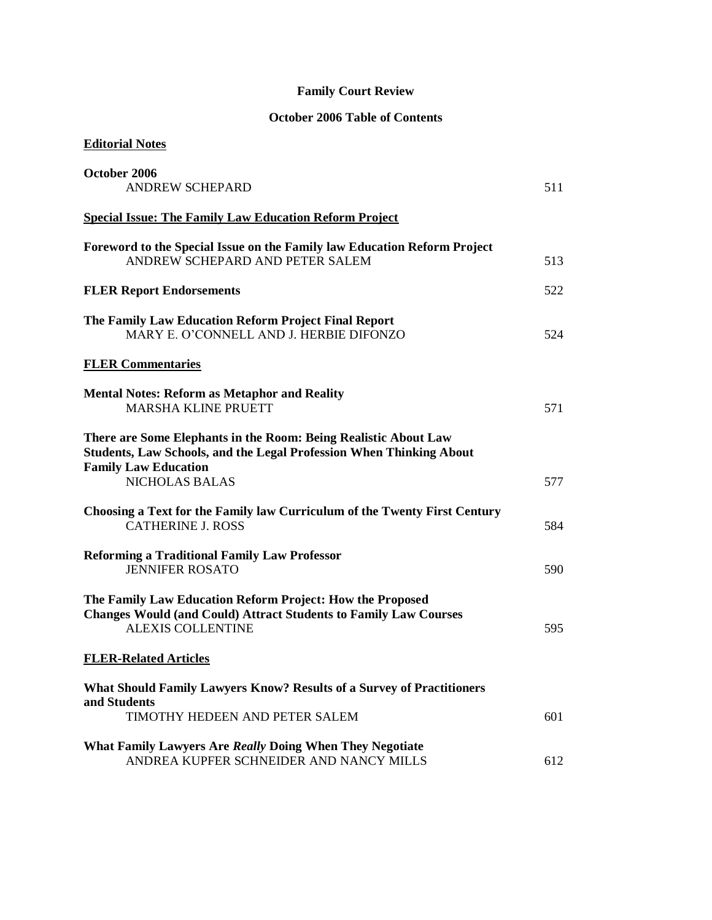## **Family Court Review**

## **October 2006 Table of Contents**

| <b>Editorial Notes</b>                                                                                                                                                                                |     |
|-------------------------------------------------------------------------------------------------------------------------------------------------------------------------------------------------------|-----|
| October 2006<br><b>ANDREW SCHEPARD</b>                                                                                                                                                                | 511 |
| <b>Special Issue: The Family Law Education Reform Project</b>                                                                                                                                         |     |
| Foreword to the Special Issue on the Family law Education Reform Project<br>ANDREW SCHEPARD AND PETER SALEM                                                                                           | 513 |
| <b>FLER Report Endorsements</b>                                                                                                                                                                       | 522 |
| The Family Law Education Reform Project Final Report<br>MARY E. O'CONNELL AND J. HERBIE DIFONZO                                                                                                       | 524 |
| <b>FLER Commentaries</b>                                                                                                                                                                              |     |
| <b>Mental Notes: Reform as Metaphor and Reality</b><br><b>MARSHA KLINE PRUETT</b>                                                                                                                     | 571 |
| There are Some Elephants in the Room: Being Realistic About Law<br><b>Students, Law Schools, and the Legal Profession When Thinking About</b><br><b>Family Law Education</b><br><b>NICHOLAS BALAS</b> | 577 |
| Choosing a Text for the Family law Curriculum of the Twenty First Century<br><b>CATHERINE J. ROSS</b>                                                                                                 | 584 |
| <b>Reforming a Traditional Family Law Professor</b><br><b>JENNIFER ROSATO</b>                                                                                                                         | 590 |
| The Family Law Education Reform Project: How the Proposed<br><b>Changes Would (and Could) Attract Students to Family Law Courses</b><br><b>ALEXIS COLLENTINE</b>                                      | 595 |
| <b>FLER-Related Articles</b>                                                                                                                                                                          |     |
| <b>What Should Family Lawyers Know? Results of a Survey of Practitioners</b>                                                                                                                          |     |
| and Students<br>TIMOTHY HEDEEN AND PETER SALEM                                                                                                                                                        | 601 |
| What Family Lawyers Are Really Doing When They Negotiate<br>ANDREA KUPFER SCHNEIDER AND NANCY MILLS                                                                                                   | 612 |